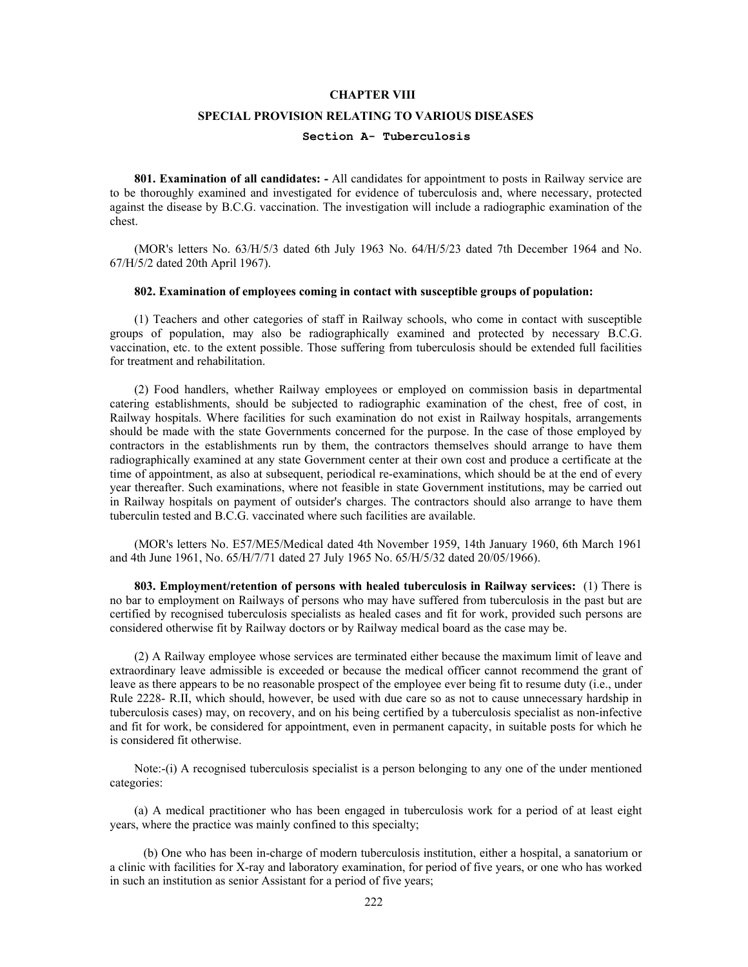# **CHAPTER VIII**

## **SPECIAL PROVISION RELATING TO VARIOUS DISEASES**

# **Section A- Tuberculosis**

 **801. Examination of all candidates: -** All candidates for appointment to posts in Railway service are to be thoroughly examined and investigated for evidence of tuberculosis and, where necessary, protected against the disease by B.C.G. vaccination. The investigation will include a radiographic examination of the chest.

 (MOR's letters No. 63/H/5/3 dated 6th July 1963 No. 64/H/5/23 dated 7th December 1964 and No. 67/H/5/2 dated 20th April 1967).

#### **802. Examination of employees coming in contact with susceptible groups of population:**

 (1) Teachers and other categories of staff in Railway schools, who come in contact with susceptible groups of population, may also be radiographically examined and protected by necessary B.C.G. vaccination, etc. to the extent possible. Those suffering from tuberculosis should be extended full facilities for treatment and rehabilitation.

 (2) Food handlers, whether Railway employees or employed on commission basis in departmental catering establishments, should be subjected to radiographic examination of the chest, free of cost, in Railway hospitals. Where facilities for such examination do not exist in Railway hospitals, arrangements should be made with the state Governments concerned for the purpose. In the case of those employed by contractors in the establishments run by them, the contractors themselves should arrange to have them radiographically examined at any state Government center at their own cost and produce a certificate at the time of appointment, as also at subsequent, periodical re-examinations, which should be at the end of every year thereafter. Such examinations, where not feasible in state Government institutions, may be carried out in Railway hospitals on payment of outsider's charges. The contractors should also arrange to have them tuberculin tested and B.C.G. vaccinated where such facilities are available.

 (MOR's letters No. E57/ME5/Medical dated 4th November 1959, 14th January 1960, 6th March 1961 and 4th June 1961, No. 65/H/7/71 dated 27 July 1965 No. 65/H/5/32 dated 20/05/1966).

 **803. Employment/retention of persons with healed tuberculosis in Railway services:** (1) There is no bar to employment on Railways of persons who may have suffered from tuberculosis in the past but are certified by recognised tuberculosis specialists as healed cases and fit for work, provided such persons are considered otherwise fit by Railway doctors or by Railway medical board as the case may be.

 (2) A Railway employee whose services are terminated either because the maximum limit of leave and extraordinary leave admissible is exceeded or because the medical officer cannot recommend the grant of leave as there appears to be no reasonable prospect of the employee ever being fit to resume duty (i.e., under Rule 2228- R.II, which should, however, be used with due care so as not to cause unnecessary hardship in tuberculosis cases) may, on recovery, and on his being certified by a tuberculosis specialist as non-infective and fit for work, be considered for appointment, even in permanent capacity, in suitable posts for which he is considered fit otherwise.

 Note:-(i) A recognised tuberculosis specialist is a person belonging to any one of the under mentioned categories:

 (a) A medical practitioner who has been engaged in tuberculosis work for a period of at least eight years, where the practice was mainly confined to this specialty;

 (b) One who has been in-charge of modern tuberculosis institution, either a hospital, a sanatorium or a clinic with facilities for X-ray and laboratory examination, for period of five years, or one who has worked in such an institution as senior Assistant for a period of five years;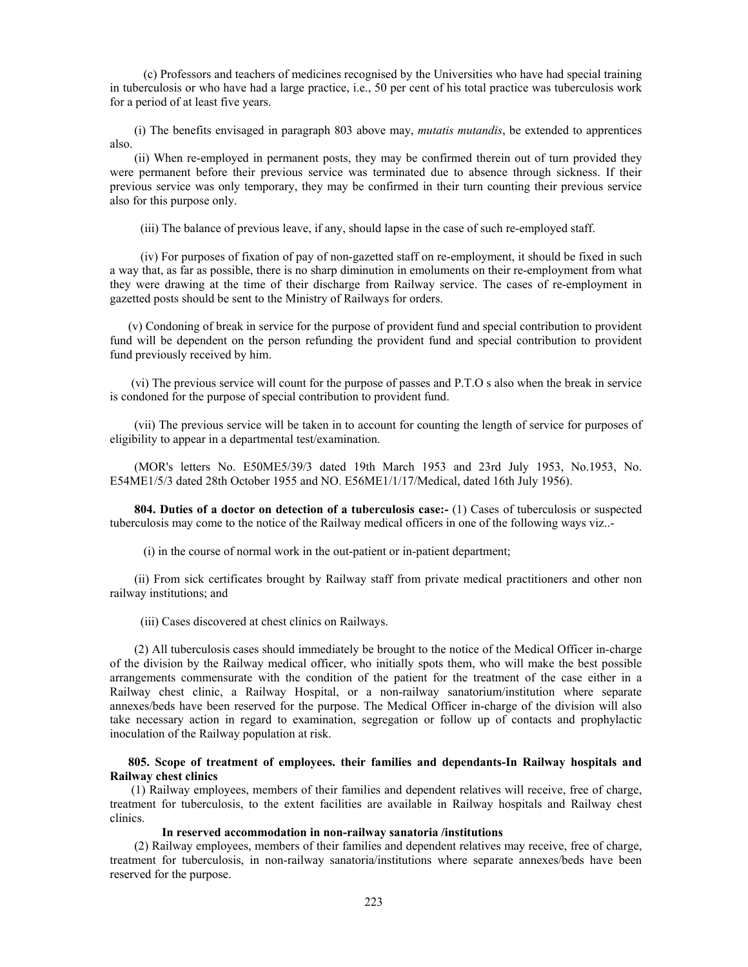(c) Professors and teachers of medicines recognised by the Universities who have had special training in tuberculosis or who have had a large practice, i.e., 50 per cent of his total practice was tuberculosis work for a period of at least five years.

 (i) The benefits envisaged in paragraph 803 above may, *mutatis mutandis*, be extended to apprentices also.

 (ii) When re-employed in permanent posts, they may be confirmed therein out of turn provided they were permanent before their previous service was terminated due to absence through sickness. If their previous service was only temporary, they may be confirmed in their turn counting their previous service also for this purpose only.

(iii) The balance of previous leave, if any, should lapse in the case of such re-employed staff.

 (iv) For purposes of fixation of pay of non-gazetted staff on re-employment, it should be fixed in such a way that, as far as possible, there is no sharp diminution in emoluments on their re-employment from what they were drawing at the time of their discharge from Railway service. The cases of re-employment in gazetted posts should be sent to the Ministry of Railways for orders.

 (v) Condoning of break in service for the purpose of provident fund and special contribution to provident fund will be dependent on the person refunding the provident fund and special contribution to provident fund previously received by him.

 (vi) The previous service will count for the purpose of passes and P.T.O s also when the break in service is condoned for the purpose of special contribution to provident fund.

 (vii) The previous service will be taken in to account for counting the length of service for purposes of eligibility to appear in a departmental test/examination.

 (MOR's letters No. E50ME5/39/3 dated 19th March 1953 and 23rd July 1953, No.1953, No. E54ME1/5/3 dated 28th October 1955 and NO. E56ME1/1/17/Medical, dated 16th July 1956).

 **804. Duties of a doctor on detection of a tuberculosis case:-** (1) Cases of tuberculosis or suspected tuberculosis may come to the notice of the Railway medical officers in one of the following ways viz..-

(i) in the course of normal work in the out-patient or in-patient department;

 (ii) From sick certificates brought by Railway staff from private medical practitioners and other non railway institutions; and

(iii) Cases discovered at chest clinics on Railways.

 (2) All tuberculosis cases should immediately be brought to the notice of the Medical Officer in-charge of the division by the Railway medical officer, who initially spots them, who will make the best possible arrangements commensurate with the condition of the patient for the treatment of the case either in a Railway chest clinic, a Railway Hospital, or a non-railway sanatorium/institution where separate annexes/beds have been reserved for the purpose. The Medical Officer in-charge of the division will also take necessary action in regard to examination, segregation or follow up of contacts and prophylactic inoculation of the Railway population at risk.

# **805. Scope of treatment of employees. their families and dependants-In Railway hospitals and Railway chest clinics**

 (1) Railway employees, members of their families and dependent relatives will receive, free of charge, treatment for tuberculosis, to the extent facilities are available in Railway hospitals and Railway chest clinics.

# **In reserved accommodation in non-railway sanatoria /institutions**

 (2) Railway employees, members of their families and dependent relatives may receive, free of charge, treatment for tuberculosis, in non-railway sanatoria/institutions where separate annexes/beds have been reserved for the purpose.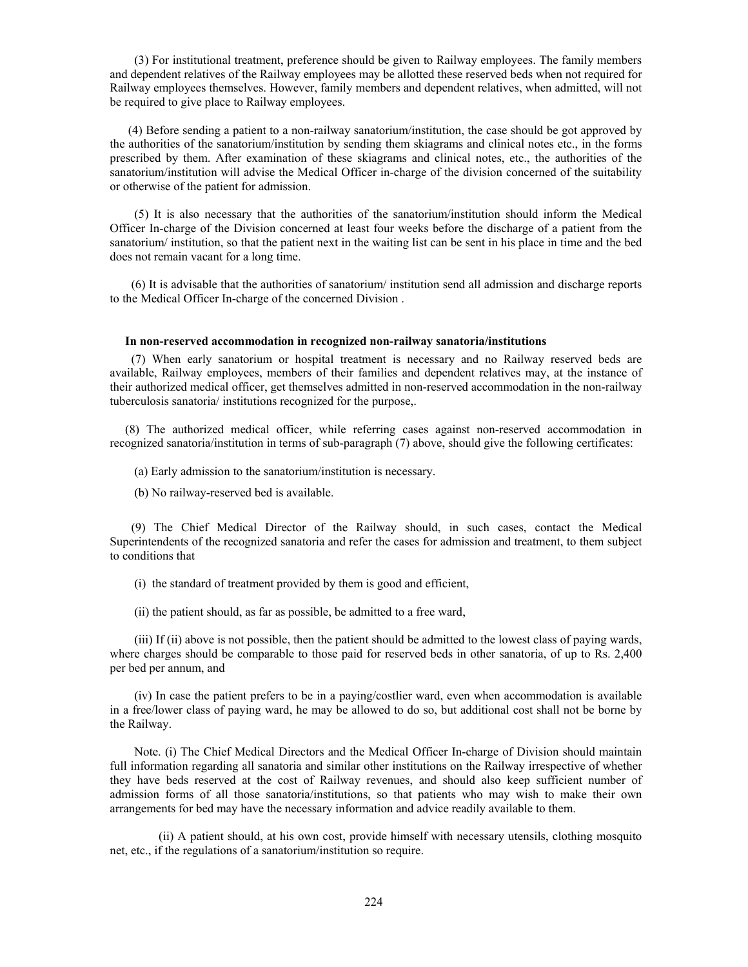(3) For institutional treatment, preference should be given to Railway employees. The family members and dependent relatives of the Railway employees may be allotted these reserved beds when not required for Railway employees themselves. However, family members and dependent relatives, when admitted, will not be required to give place to Railway employees.

 (4) Before sending a patient to a non-railway sanatorium/institution, the case should be got approved by the authorities of the sanatorium/institution by sending them skiagrams and clinical notes etc., in the forms prescribed by them. After examination of these skiagrams and clinical notes, etc., the authorities of the sanatorium/institution will advise the Medical Officer in-charge of the division concerned of the suitability or otherwise of the patient for admission.

 (5) It is also necessary that the authorities of the sanatorium/institution should inform the Medical Officer In-charge of the Division concerned at least four weeks before the discharge of a patient from the sanatorium/ institution, so that the patient next in the waiting list can be sent in his place in time and the bed does not remain vacant for a long time.

 (6) It is advisable that the authorities of sanatorium/ institution send all admission and discharge reports to the Medical Officer In-charge of the concerned Division .

#### **In non-reserved accommodation in recognized non-railway sanatoria/institutions**

 (7) When early sanatorium or hospital treatment is necessary and no Railway reserved beds are available, Railway employees, members of their families and dependent relatives may, at the instance of their authorized medical officer, get themselves admitted in non-reserved accommodation in the non-railway tuberculosis sanatoria/ institutions recognized for the purpose,.

 (8) The authorized medical officer, while referring cases against non-reserved accommodation in recognized sanatoria/institution in terms of sub-paragraph (7) above, should give the following certificates:

(a) Early admission to the sanatorium/institution is necessary.

(b) No railway-reserved bed is available.

 (9) The Chief Medical Director of the Railway should, in such cases, contact the Medical Superintendents of the recognized sanatoria and refer the cases for admission and treatment, to them subject to conditions that

(i) the standard of treatment provided by them is good and efficient,

(ii) the patient should, as far as possible, be admitted to a free ward,

 (iii) If (ii) above is not possible, then the patient should be admitted to the lowest class of paying wards, where charges should be comparable to those paid for reserved beds in other sanatoria, of up to Rs. 2,400 per bed per annum, and

 (iv) In case the patient prefers to be in a paying/costlier ward, even when accommodation is available in a free/lower class of paying ward, he may be allowed to do so, but additional cost shall not be borne by the Railway.

 Note. (i) The Chief Medical Directors and the Medical Officer In-charge of Division should maintain full information regarding all sanatoria and similar other institutions on the Railway irrespective of whether they have beds reserved at the cost of Railway revenues, and should also keep sufficient number of admission forms of all those sanatoria/institutions, so that patients who may wish to make their own arrangements for bed may have the necessary information and advice readily available to them.

 (ii) A patient should, at his own cost, provide himself with necessary utensils, clothing mosquito net, etc., if the regulations of a sanatorium/institution so require.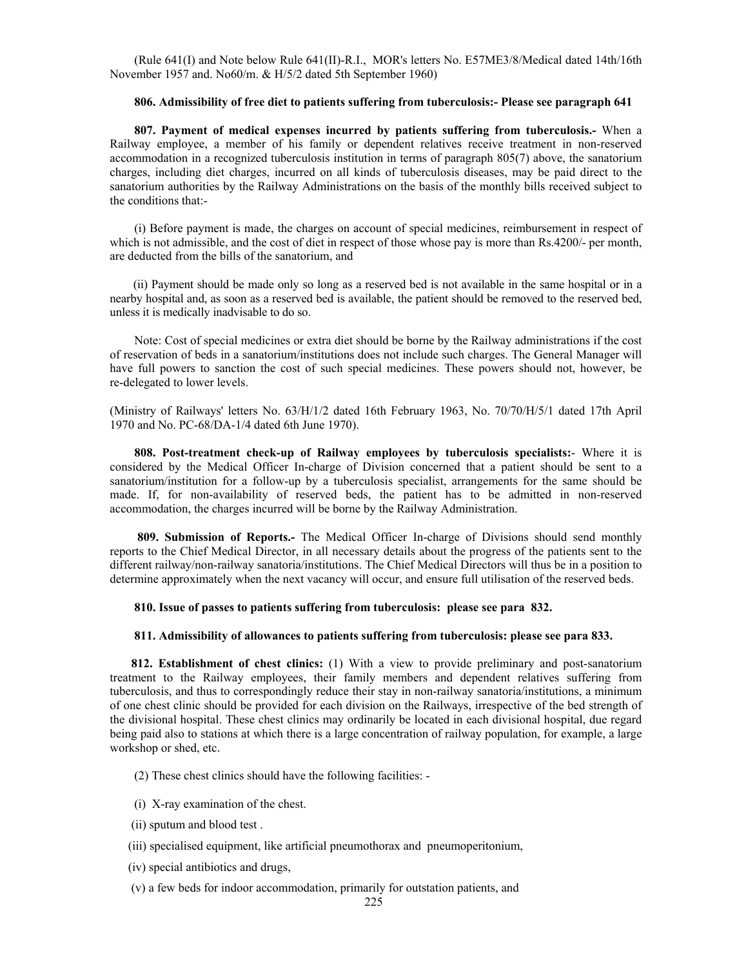(Rule 641(I) and Note below Rule 641(II)-R.I., MOR's letters No. E57ME3/8/Medical dated 14th/16th November 1957 and. No60/m. & H/5/2 dated 5th September 1960)

#### **806. Admissibility of free diet to patients suffering from tuberculosis:- Please see paragraph 641**

 **807. Payment of medical expenses incurred by patients suffering from tuberculosis.-** When a Railway employee, a member of his family or dependent relatives receive treatment in non-reserved accommodation in a recognized tuberculosis institution in terms of paragraph 805(7) above, the sanatorium charges, including diet charges, incurred on all kinds of tuberculosis diseases, may be paid direct to the sanatorium authorities by the Railway Administrations on the basis of the monthly bills received subject to the conditions that:-

 (i) Before payment is made, the charges on account of special medicines, reimbursement in respect of which is not admissible, and the cost of diet in respect of those whose pay is more than Rs.4200/- per month, are deducted from the bills of the sanatorium, and

 (ii) Payment should be made only so long as a reserved bed is not available in the same hospital or in a nearby hospital and, as soon as a reserved bed is available, the patient should be removed to the reserved bed, unless it is medically inadvisable to do so.

 Note: Cost of special medicines or extra diet should be borne by the Railway administrations if the cost of reservation of beds in a sanatorium/institutions does not include such charges. The General Manager will have full powers to sanction the cost of such special medicines. These powers should not, however, be re-delegated to lower levels.

(Ministry of Railways' letters No. 63/H/1/2 dated 16th February 1963, No. 70/70/H/5/1 dated 17th April 1970 and No. PC-68/DA-1/4 dated 6th June 1970).

 **808. Post-treatment check-up of Railway employees by tuberculosis specialists:**- Where it is considered by the Medical Officer In-charge of Division concerned that a patient should be sent to a sanatorium/institution for a follow-up by a tuberculosis specialist, arrangements for the same should be made. If, for non-availability of reserved beds, the patient has to be admitted in non-reserved accommodation, the charges incurred will be borne by the Railway Administration.

 **809. Submission of Reports.-** The Medical Officer In-charge of Divisions should send monthly reports to the Chief Medical Director, in all necessary details about the progress of the patients sent to the different railway/non-railway sanatoria/institutions. The Chief Medical Directors will thus be in a position to determine approximately when the next vacancy will occur, and ensure full utilisation of the reserved beds.

#### **810. Issue of passes to patients suffering from tuberculosis: please see para 832.**

## **811. Admissibility of allowances to patients suffering from tuberculosis: please see para 833.**

 **812. Establishment of chest clinics:** (1) With a view to provide preliminary and post-sanatorium treatment to the Railway employees, their family members and dependent relatives suffering from tuberculosis, and thus to correspondingly reduce their stay in non-railway sanatoria/institutions, a minimum of one chest clinic should be provided for each division on the Railways, irrespective of the bed strength of the divisional hospital. These chest clinics may ordinarily be located in each divisional hospital, due regard being paid also to stations at which there is a large concentration of railway population, for example, a large workshop or shed, etc.

(2) These chest clinics should have the following facilities: -

- (i) X-ray examination of the chest.
- (ii) sputum and blood test .
- (iii) specialised equipment, like artificial pneumothorax and pneumoperitonium,
- (iv) special antibiotics and drugs,
- (v) a few beds for indoor accommodation, primarily for outstation patients, and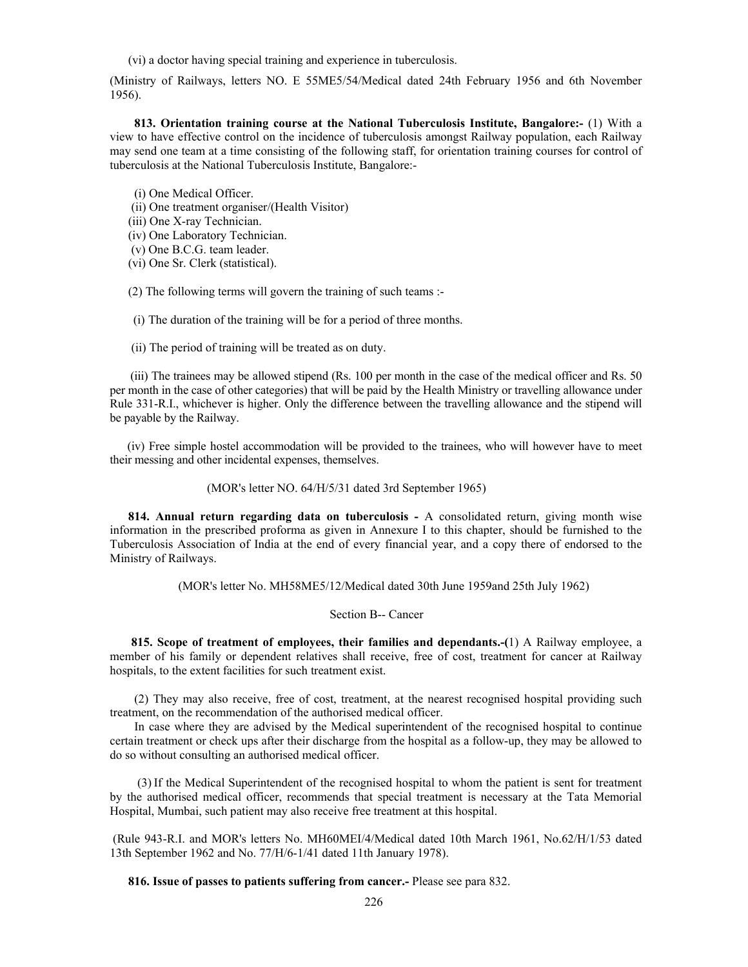(vi) a doctor having special training and experience in tuberculosis.

(Ministry of Railways, letters NO. E 55ME5/54/Medical dated 24th February 1956 and 6th November 1956).

 **813. Orientation training course at the National Tuberculosis Institute, Bangalore:-** (1) With a view to have effective control on the incidence of tuberculosis amongst Railway population, each Railway may send one team at a time consisting of the following staff, for orientation training courses for control of tuberculosis at the National Tuberculosis Institute, Bangalore:-

(i) One Medical Officer.

(ii) One treatment organiser/(Health Visitor)

(iii) One X-ray Technician.

(iv) One Laboratory Technician.

(v) One B.C.G. team leader.

(vi) One Sr. Clerk (statistical).

(2) The following terms will govern the training of such teams :-

(i) The duration of the training will be for a period of three months.

(ii) The period of training will be treated as on duty.

 (iii) The trainees may be allowed stipend (Rs. 100 per month in the case of the medical officer and Rs. 50 per month in the case of other categories) that will be paid by the Health Ministry or travelling allowance under Rule 331-R.I., whichever is higher. Only the difference between the travelling allowance and the stipend will be payable by the Railway.

 (iv) Free simple hostel accommodation will be provided to the trainees, who will however have to meet their messing and other incidental expenses, themselves.

(MOR's letter NO. 64/H/5/31 dated 3rd September 1965)

 **814. Annual return regarding data on tuberculosis -** A consolidated return, giving month wise information in the prescribed proforma as given in Annexure I to this chapter, should be furnished to the Tuberculosis Association of India at the end of every financial year, and a copy there of endorsed to the Ministry of Railways.

(MOR's letter No. MH58ME5/12/Medical dated 30th June 1959and 25th July 1962)

Section B-- Cancer

 **815. Scope of treatment of employees, their families and dependants.-(**1) A Railway employee, a member of his family or dependent relatives shall receive, free of cost, treatment for cancer at Railway hospitals, to the extent facilities for such treatment exist.

 (2) They may also receive, free of cost, treatment, at the nearest recognised hospital providing such treatment, on the recommendation of the authorised medical officer.

 In case where they are advised by the Medical superintendent of the recognised hospital to continue certain treatment or check ups after their discharge from the hospital as a follow-up, they may be allowed to do so without consulting an authorised medical officer.

(3) If the Medical Superintendent of the recognised hospital to whom the patient is sent for treatment by the authorised medical officer, recommends that special treatment is necessary at the Tata Memorial Hospital, Mumbai, such patient may also receive free treatment at this hospital.

 (Rule 943-R.I. and MOR's letters No. MH60MEI/4/Medical dated 10th March 1961, No.62/H/1/53 dated 13th September 1962 and No. 77/H/6-1/41 dated 11th January 1978).

**816. Issue of passes to patients suffering from cancer.-** Please see para 832.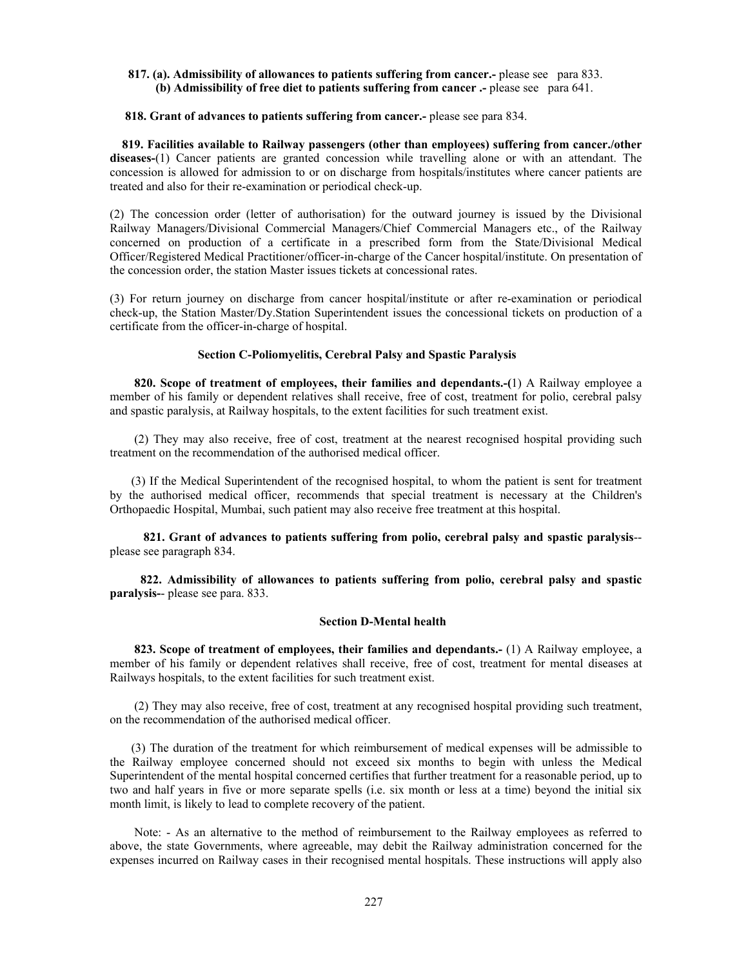# **817. (a). Admissibility of allowances to patients suffering from cancer.-** please see para 833. **(b) Admissibility of free diet to patients suffering from cancer .-** please see para 641.

#### **818. Grant of advances to patients suffering from cancer.-** please see para 834.

 **819. Facilities available to Railway passengers (other than employees) suffering from cancer./other diseases-**(1) Cancer patients are granted concession while travelling alone or with an attendant. The concession is allowed for admission to or on discharge from hospitals/institutes where cancer patients are treated and also for their re-examination or periodical check-up.

(2) The concession order (letter of authorisation) for the outward journey is issued by the Divisional Railway Managers/Divisional Commercial Managers/Chief Commercial Managers etc., of the Railway concerned on production of a certificate in a prescribed form from the State/Divisional Medical Officer/Registered Medical Practitioner/officer-in-charge of the Cancer hospital/institute. On presentation of the concession order, the station Master issues tickets at concessional rates.

(3) For return journey on discharge from cancer hospital/institute or after re-examination or periodical check-up, the Station Master/Dy.Station Superintendent issues the concessional tickets on production of a certificate from the officer-in-charge of hospital.

# **Section C-Poliomyelitis, Cerebral Palsy and Spastic Paralysis**

 **820. Scope of treatment of employees, their families and dependants.-(**1) A Railway employee a member of his family or dependent relatives shall receive, free of cost, treatment for polio, cerebral palsy and spastic paralysis, at Railway hospitals, to the extent facilities for such treatment exist.

 (2) They may also receive, free of cost, treatment at the nearest recognised hospital providing such treatment on the recommendation of the authorised medical officer.

 (3) If the Medical Superintendent of the recognised hospital, to whom the patient is sent for treatment by the authorised medical officer, recommends that special treatment is necessary at the Children's Orthopaedic Hospital, Mumbai, such patient may also receive free treatment at this hospital.

 **821. Grant of advances to patients suffering from polio, cerebral palsy and spastic paralysis**- please see paragraph 834.

 **822. Admissibility of allowances to patients suffering from polio, cerebral palsy and spastic paralysis-**- please see para. 833.

#### **Section D-Mental health**

 **823. Scope of treatment of employees, their families and dependants.-** (1) A Railway employee, a member of his family or dependent relatives shall receive, free of cost, treatment for mental diseases at Railways hospitals, to the extent facilities for such treatment exist.

 (2) They may also receive, free of cost, treatment at any recognised hospital providing such treatment, on the recommendation of the authorised medical officer.

 (3) The duration of the treatment for which reimbursement of medical expenses will be admissible to the Railway employee concerned should not exceed six months to begin with unless the Medical Superintendent of the mental hospital concerned certifies that further treatment for a reasonable period, up to two and half years in five or more separate spells (i.e. six month or less at a time) beyond the initial six month limit, is likely to lead to complete recovery of the patient.

 Note: - As an alternative to the method of reimbursement to the Railway employees as referred to above, the state Governments, where agreeable, may debit the Railway administration concerned for the expenses incurred on Railway cases in their recognised mental hospitals. These instructions will apply also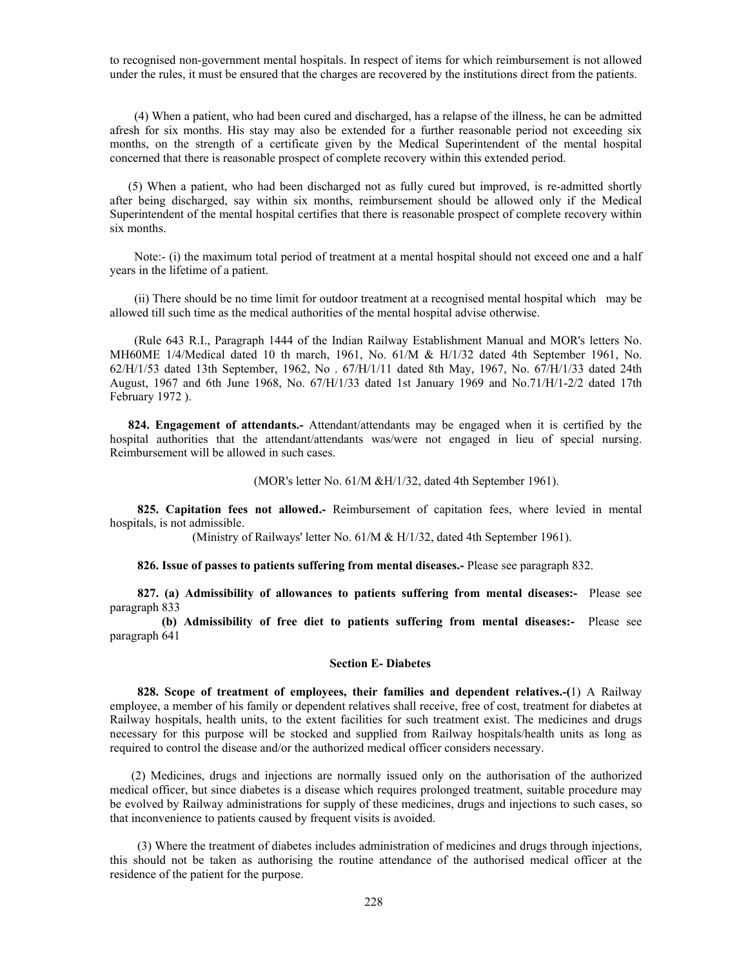to recognised non-government mental hospitals. In respect of items for which reimbursement is not allowed under the rules, it must be ensured that the charges are recovered by the institutions direct from the patients.

 (4) When a patient, who had been cured and discharged, has a relapse of the illness, he can be admitted afresh for six months. His stay may also be extended for a further reasonable period not exceeding six months, on the strength of a certificate given by the Medical Superintendent of the mental hospital concerned that there is reasonable prospect of complete recovery within this extended period.

 (5) When a patient, who had been discharged not as fully cured but improved, is re-admitted shortly after being discharged, say within six months, reimbursement should be allowed only if the Medical Superintendent of the mental hospital certifies that there is reasonable prospect of complete recovery within six months.

Note:- (i) the maximum total period of treatment at a mental hospital should not exceed one and a half years in the lifetime of a patient.

 (ii) There should be no time limit for outdoor treatment at a recognised mental hospital which may be allowed till such time as the medical authorities of the mental hospital advise otherwise.

 (Rule 643 R.I., Paragraph 1444 of the Indian Railway Establishment Manual and MOR's letters No. MH60ME 1/4/Medical dated 10 th march, 1961, No. 61/M & H/1/32 dated 4th September 1961, No. 62/H/1/53 dated 13th September, 1962, No . 67/H/1/11 dated 8th May, 1967, No. 67/H/1/33 dated 24th August, 1967 and 6th June 1968, No. 67/H/1/33 dated 1st January 1969 and No.71/H/1-2/2 dated 17th February 1972 ).

**824. Engagement of attendants.**- Attendant/attendants may be engaged when it is certified by the hospital authorities that the attendant/attendants was/were not engaged in lieu of special nursing. Reimbursement will be allowed in such cases.

(MOR's letter No. 61/M &H/1/32, dated 4th September 1961).

 **825. Capitation fees not allowed.-** Reimbursement of capitation fees, where levied in mental hospitals, is not admissible.

(Ministry of Railways' letter No. 61/M & H/1/32, dated 4th September 1961).

**826. Issue of passes to patients suffering from mental diseases.-** Please see paragraph 832.

 **827. (a) Admissibility of allowances to patients suffering from mental diseases:-** Please see paragraph 833

 **(b) Admissibility of free diet to patients suffering from mental diseases:-** Please see paragraph 641

#### **Section E- Diabetes**

 **828. Scope of treatment of employees, their families and dependent relatives.-(**1) A Railway employee, a member of his family or dependent relatives shall receive, free of cost, treatment for diabetes at Railway hospitals, health units, to the extent facilities for such treatment exist. The medicines and drugs necessary for this purpose will be stocked and supplied from Railway hospitals/health units as long as required to control the disease and/or the authorized medical officer considers necessary.

 (2) Medicines, drugs and injections are normally issued only on the authorisation of the authorized medical officer, but since diabetes is a disease which requires prolonged treatment, suitable procedure may be evolved by Railway administrations for supply of these medicines, drugs and injections to such cases, so that inconvenience to patients caused by frequent visits is avoided.

 (3) Where the treatment of diabetes includes administration of medicines and drugs through injections, this should not be taken as authorising the routine attendance of the authorised medical officer at the residence of the patient for the purpose.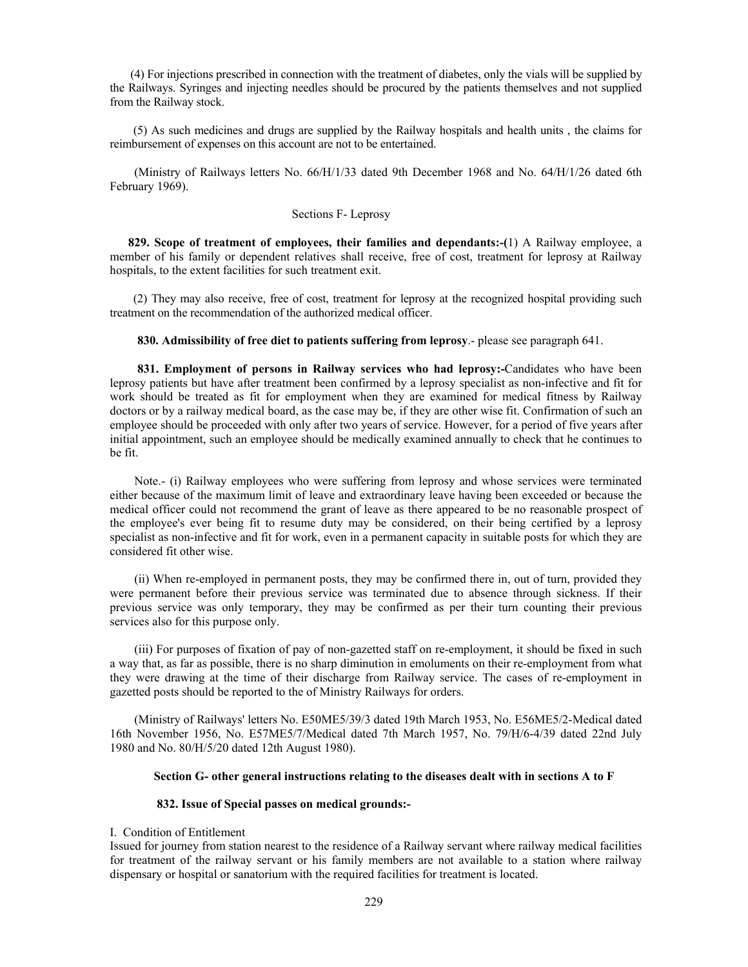(4) For injections prescribed in connection with the treatment of diabetes, only the vials will be supplied by the Railways. Syringes and injecting needles should be procured by the patients themselves and not supplied from the Railway stock.

 (5) As such medicines and drugs are supplied by the Railway hospitals and health units , the claims for reimbursement of expenses on this account are not to be entertained.

 (Ministry of Railways letters No. 66/H/1/33 dated 9th December 1968 and No. 64/H/1/26 dated 6th February 1969).

# Sections F- Leprosy

 **829. Scope of treatment of employees, their families and dependants:-(**1) A Railway employee, a member of his family or dependent relatives shall receive, free of cost, treatment for leprosy at Railway hospitals, to the extent facilities for such treatment exit.

 (2) They may also receive, free of cost, treatment for leprosy at the recognized hospital providing such treatment on the recommendation of the authorized medical officer.

#### **830. Admissibility of free diet to patients suffering from leprosy**.- please see paragraph 641.

 **831. Employment of persons in Railway services who had leprosy:-**Candidates who have been leprosy patients but have after treatment been confirmed by a leprosy specialist as non-infective and fit for work should be treated as fit for employment when they are examined for medical fitness by Railway doctors or by a railway medical board, as the case may be, if they are other wise fit. Confirmation of such an employee should be proceeded with only after two years of service. However, for a period of five years after initial appointment, such an employee should be medically examined annually to check that he continues to be fit.

 Note.- (i) Railway employees who were suffering from leprosy and whose services were terminated either because of the maximum limit of leave and extraordinary leave having been exceeded or because the medical officer could not recommend the grant of leave as there appeared to be no reasonable prospect of the employee's ever being fit to resume duty may be considered, on their being certified by a leprosy specialist as non-infective and fit for work, even in a permanent capacity in suitable posts for which they are considered fit other wise.

 (ii) When re-employed in permanent posts, they may be confirmed there in, out of turn, provided they were permanent before their previous service was terminated due to absence through sickness. If their previous service was only temporary, they may be confirmed as per their turn counting their previous services also for this purpose only.

 (iii) For purposes of fixation of pay of non-gazetted staff on re-employment, it should be fixed in such a way that, as far as possible, there is no sharp diminution in emoluments on their re-employment from what they were drawing at the time of their discharge from Railway service. The cases of re-employment in gazetted posts should be reported to the of Ministry Railways for orders.

 (Ministry of Railways' letters No. E50ME5/39/3 dated 19th March 1953, No. E56ME5/2-Medical dated 16th November 1956, No. E57ME5/7/Medical dated 7th March 1957, No. 79/H/6-4/39 dated 22nd July 1980 and No. 80/H/5/20 dated 12th August 1980).

#### **Section G- other general instructions relating to the diseases dealt with in sections A to F**

# **832. Issue of Special passes on medical grounds:-**

# I. Condition of Entitlement

Issued for journey from station nearest to the residence of a Railway servant where railway medical facilities for treatment of the railway servant or his family members are not available to a station where railway dispensary or hospital or sanatorium with the required facilities for treatment is located.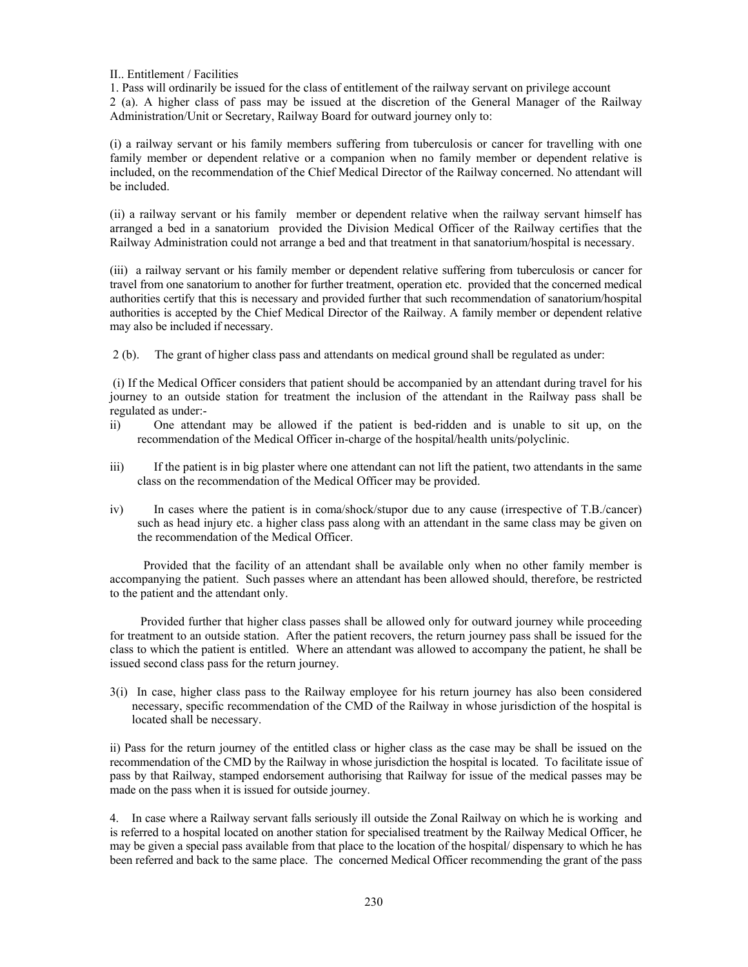II.. Entitlement / Facilities

1. Pass will ordinarily be issued for the class of entitlement of the railway servant on privilege account 2 (a). A higher class of pass may be issued at the discretion of the General Manager of the Railway Administration/Unit or Secretary, Railway Board for outward journey only to:

(i) a railway servant or his family members suffering from tuberculosis or cancer for travelling with one family member or dependent relative or a companion when no family member or dependent relative is included, on the recommendation of the Chief Medical Director of the Railway concerned. No attendant will be included.

(ii) a railway servant or his family member or dependent relative when the railway servant himself has arranged a bed in a sanatorium provided the Division Medical Officer of the Railway certifies that the Railway Administration could not arrange a bed and that treatment in that sanatorium/hospital is necessary.

(iii) a railway servant or his family member or dependent relative suffering from tuberculosis or cancer for travel from one sanatorium to another for further treatment, operation etc. provided that the concerned medical authorities certify that this is necessary and provided further that such recommendation of sanatorium/hospital authorities is accepted by the Chief Medical Director of the Railway. A family member or dependent relative may also be included if necessary.

2 (b). The grant of higher class pass and attendants on medical ground shall be regulated as under:

 (i) If the Medical Officer considers that patient should be accompanied by an attendant during travel for his journey to an outside station for treatment the inclusion of the attendant in the Railway pass shall be regulated as under:-

- ii) One attendant may be allowed if the patient is bed-ridden and is unable to sit up, on the recommendation of the Medical Officer in-charge of the hospital/health units/polyclinic.
- iii) If the patient is in big plaster where one attendant can not lift the patient, two attendants in the same class on the recommendation of the Medical Officer may be provided.
- iv) In cases where the patient is in coma/shock/stupor due to any cause (irrespective of T.B./cancer) such as head injury etc. a higher class pass along with an attendant in the same class may be given on the recommendation of the Medical Officer.

 Provided that the facility of an attendant shall be available only when no other family member is accompanying the patient. Such passes where an attendant has been allowed should, therefore, be restricted to the patient and the attendant only.

 Provided further that higher class passes shall be allowed only for outward journey while proceeding for treatment to an outside station. After the patient recovers, the return journey pass shall be issued for the class to which the patient is entitled. Where an attendant was allowed to accompany the patient, he shall be issued second class pass for the return journey.

3(i) In case, higher class pass to the Railway employee for his return journey has also been considered necessary, specific recommendation of the CMD of the Railway in whose jurisdiction of the hospital is located shall be necessary.

ii) Pass for the return journey of the entitled class or higher class as the case may be shall be issued on the recommendation of the CMD by the Railway in whose jurisdiction the hospital is located. To facilitate issue of pass by that Railway, stamped endorsement authorising that Railway for issue of the medical passes may be made on the pass when it is issued for outside journey.

4. In case where a Railway servant falls seriously ill outside the Zonal Railway on which he is working and is referred to a hospital located on another station for specialised treatment by the Railway Medical Officer, he may be given a special pass available from that place to the location of the hospital/ dispensary to which he has been referred and back to the same place. The concerned Medical Officer recommending the grant of the pass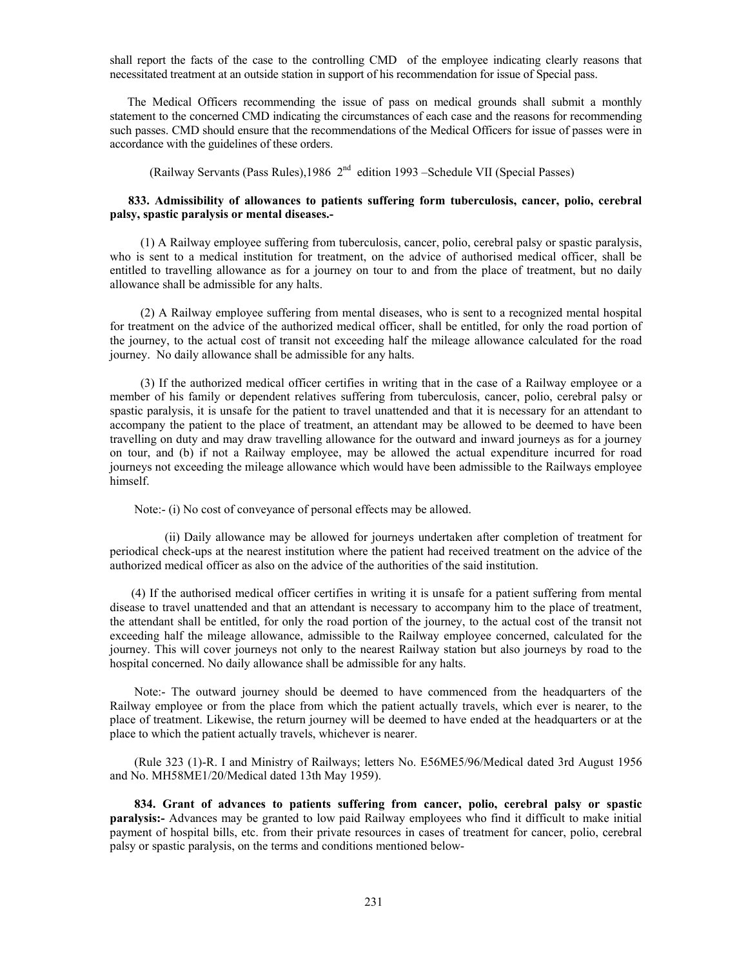shall report the facts of the case to the controlling CMD of the employee indicating clearly reasons that necessitated treatment at an outside station in support of his recommendation for issue of Special pass.

 The Medical Officers recommending the issue of pass on medical grounds shall submit a monthly statement to the concerned CMD indicating the circumstances of each case and the reasons for recommending such passes. CMD should ensure that the recommendations of the Medical Officers for issue of passes were in accordance with the guidelines of these orders.

(Railway Servants (Pass Rules), 1986  $2<sup>nd</sup>$  edition 1993 – Schedule VII (Special Passes)

# **833. Admissibility of allowances to patients suffering form tuberculosis, cancer, polio, cerebral palsy, spastic paralysis or mental diseases.-**

 (1) A Railway employee suffering from tuberculosis, cancer, polio, cerebral palsy or spastic paralysis, who is sent to a medical institution for treatment, on the advice of authorised medical officer, shall be entitled to travelling allowance as for a journey on tour to and from the place of treatment, but no daily allowance shall be admissible for any halts.

 (2) A Railway employee suffering from mental diseases, who is sent to a recognized mental hospital for treatment on the advice of the authorized medical officer, shall be entitled, for only the road portion of the journey, to the actual cost of transit not exceeding half the mileage allowance calculated for the road journey. No daily allowance shall be admissible for any halts.

 (3) If the authorized medical officer certifies in writing that in the case of a Railway employee or a member of his family or dependent relatives suffering from tuberculosis, cancer, polio, cerebral palsy or spastic paralysis, it is unsafe for the patient to travel unattended and that it is necessary for an attendant to accompany the patient to the place of treatment, an attendant may be allowed to be deemed to have been travelling on duty and may draw travelling allowance for the outward and inward journeys as for a journey on tour, and (b) if not a Railway employee, may be allowed the actual expenditure incurred for road journeys not exceeding the mileage allowance which would have been admissible to the Railways employee himself.

Note:- (i) No cost of conveyance of personal effects may be allowed.

 (ii) Daily allowance may be allowed for journeys undertaken after completion of treatment for periodical check-ups at the nearest institution where the patient had received treatment on the advice of the authorized medical officer as also on the advice of the authorities of the said institution.

 (4) If the authorised medical officer certifies in writing it is unsafe for a patient suffering from mental disease to travel unattended and that an attendant is necessary to accompany him to the place of treatment, the attendant shall be entitled, for only the road portion of the journey, to the actual cost of the transit not exceeding half the mileage allowance, admissible to the Railway employee concerned, calculated for the journey. This will cover journeys not only to the nearest Railway station but also journeys by road to the hospital concerned. No daily allowance shall be admissible for any halts.

 Note:- The outward journey should be deemed to have commenced from the headquarters of the Railway employee or from the place from which the patient actually travels, which ever is nearer, to the place of treatment. Likewise, the return journey will be deemed to have ended at the headquarters or at the place to which the patient actually travels, whichever is nearer.

 (Rule 323 (1)-R. I and Ministry of Railways; letters No. E56ME5/96/Medical dated 3rd August 1956 and No. MH58ME1/20/Medical dated 13th May 1959).

 **834. Grant of advances to patients suffering from cancer, polio, cerebral palsy or spastic paralysis:-** Advances may be granted to low paid Railway employees who find it difficult to make initial payment of hospital bills, etc. from their private resources in cases of treatment for cancer, polio, cerebral palsy or spastic paralysis, on the terms and conditions mentioned below-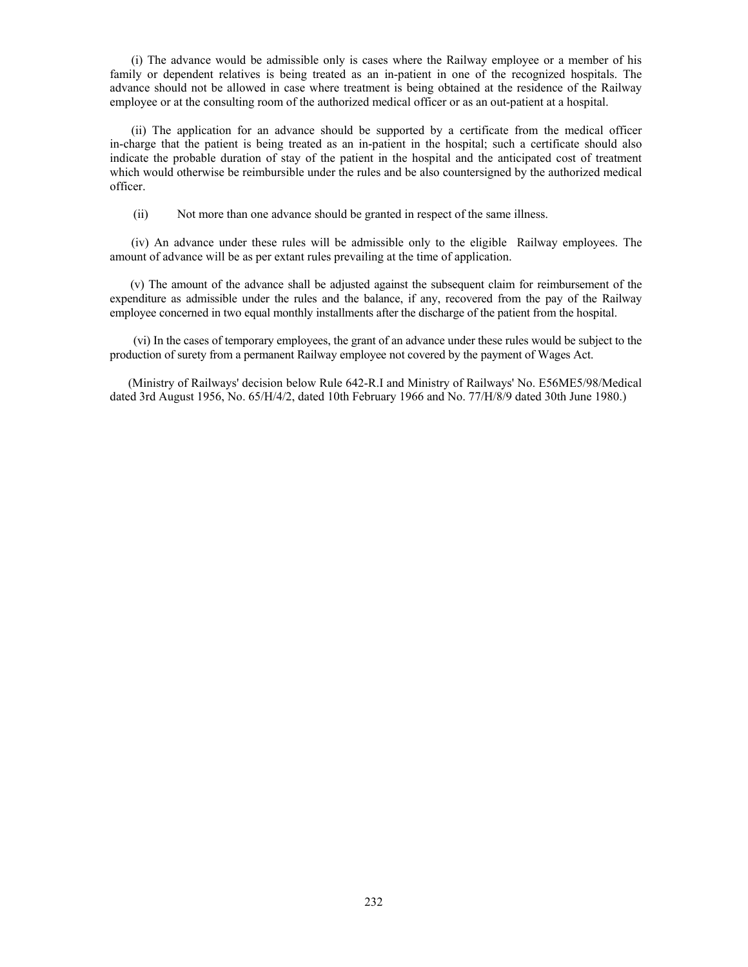(i) The advance would be admissible only is cases where the Railway employee or a member of his family or dependent relatives is being treated as an in-patient in one of the recognized hospitals. The advance should not be allowed in case where treatment is being obtained at the residence of the Railway employee or at the consulting room of the authorized medical officer or as an out-patient at a hospital.

 (ii) The application for an advance should be supported by a certificate from the medical officer in-charge that the patient is being treated as an in-patient in the hospital; such a certificate should also indicate the probable duration of stay of the patient in the hospital and the anticipated cost of treatment which would otherwise be reimbursible under the rules and be also countersigned by the authorized medical officer.

(ii) Not more than one advance should be granted in respect of the same illness.

 (iv) An advance under these rules will be admissible only to the eligible Railway employees. The amount of advance will be as per extant rules prevailing at the time of application.

 (v) The amount of the advance shall be adjusted against the subsequent claim for reimbursement of the expenditure as admissible under the rules and the balance, if any, recovered from the pay of the Railway employee concerned in two equal monthly installments after the discharge of the patient from the hospital.

 (vi) In the cases of temporary employees, the grant of an advance under these rules would be subject to the production of surety from a permanent Railway employee not covered by the payment of Wages Act.

 (Ministry of Railways' decision below Rule 642-R.I and Ministry of Railways' No. E56ME5/98/Medical dated 3rd August 1956, No. 65/H/4/2, dated 10th February 1966 and No. 77/H/8/9 dated 30th June 1980.)